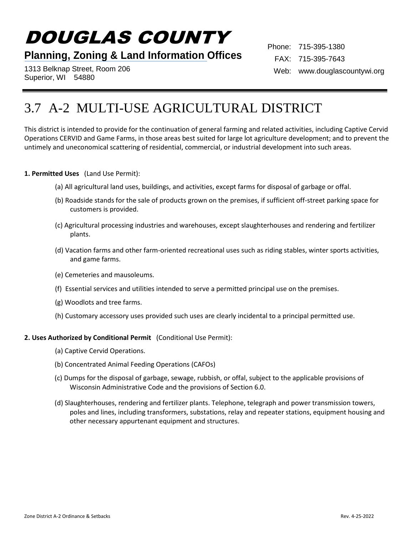# DOUGLAS COUNTY

### **Planning, Zoning & Land Information Offices**

1313 Belknap Street, Room 206 Superior, WI 54880

Phone: 715-395-1380 FAX: 715-395-7643 Web: www.douglascountywi.org

## 3.7 A-2 MULTI-USE AGRICULTURAL DISTRICT

This district is intended to provide for the continuation of general farming and related activities, including Captive Cervid Operations CERVID and Game Farms, in those areas best suited for large lot agriculture development; and to prevent the untimely and uneconomical scattering of residential, commercial, or industrial development into such areas.

#### **1. Permitted Uses** (Land Use Permit):

- (a) All agricultural land uses, buildings, and activities, except farms for disposal of garbage or offal.
- (b) Roadside stands for the sale of products grown on the premises, if sufficient off-street parking space for customers is provided.
- (c) Agricultural processing industries and warehouses, except slaughterhouses and rendering and fertilizer plants.
- (d) Vacation farms and other farm-oriented recreational uses such as riding stables, winter sports activities, and game farms.
- (e) Cemeteries and mausoleums.
- (f) Essential services and utilities intended to serve a permitted principal use on the premises.
- (g) Woodlots and tree farms.
- (h) Customary accessory uses provided such uses are clearly incidental to a principal permitted use.

#### **2. Uses Authorized by Conditional Permit** (Conditional Use Permit):

- (a) Captive Cervid Operations.
- (b) Concentrated Animal Feeding Operations (CAFOs)
- (c) Dumps for the disposal of garbage, sewage, rubbish, or offal, subject to the applicable provisions of Wisconsin Administrative Code and the provisions of Section 6.0.
- (d) Slaughterhouses, rendering and fertilizer plants. Telephone, telegraph and power transmission towers, poles and lines, including transformers, substations, relay and repeater stations, equipment housing and other necessary appurtenant equipment and structures.